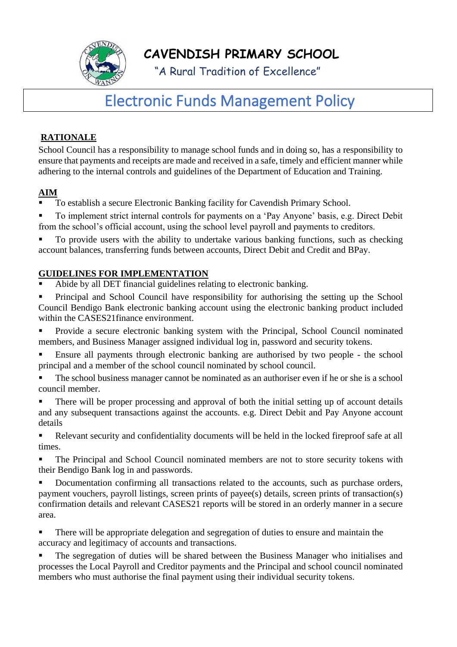

**CAVENDISH PRIMARY SCHOOL**

"A Rural Tradition of Excellence"

# Electronic Funds Management Policy

# **RATIONALE**

School Council has a responsibility to manage school funds and in doing so, has a responsibility to ensure that payments and receipts are made and received in a safe, timely and efficient manner while adhering to the internal controls and guidelines of the Department of Education and Training.

## **AIM**

- To establish a secure Electronic Banking facility for Cavendish Primary School.
- To implement strict internal controls for payments on a 'Pay Anyone' basis, e.g. Direct Debit from the school's official account, using the school level payroll and payments to creditors.

To provide users with the ability to undertake various banking functions, such as checking account balances, transferring funds between accounts, Direct Debit and Credit and BPay.

## **GUIDELINES FOR IMPLEMENTATION**

- Abide by all DET financial guidelines relating to electronic banking.
- Principal and School Council have responsibility for authorising the setting up the School Council Bendigo Bank electronic banking account using the electronic banking product included within the CASES21finance environment.
- Provide a secure electronic banking system with the Principal, School Council nominated members, and Business Manager assigned individual log in, password and security tokens.
- Ensure all payments through electronic banking are authorised by two people the school principal and a member of the school council nominated by school council.
- The school business manager cannot be nominated as an authoriser even if he or she is a school council member.
- There will be proper processing and approval of both the initial setting up of account details and any subsequent transactions against the accounts. e.g. Direct Debit and Pay Anyone account details
- Relevant security and confidentiality documents will be held in the locked fireproof safe at all times.
- The Principal and School Council nominated members are not to store security tokens with their Bendigo Bank log in and passwords.
- Documentation confirming all transactions related to the accounts, such as purchase orders, payment vouchers, payroll listings, screen prints of payee(s) details, screen prints of transaction(s) confirmation details and relevant CASES21 reports will be stored in an orderly manner in a secure area.
- There will be appropriate delegation and segregation of duties to ensure and maintain the accuracy and legitimacy of accounts and transactions.
- The segregation of duties will be shared between the Business Manager who initialises and processes the Local Payroll and Creditor payments and the Principal and school council nominated members who must authorise the final payment using their individual security tokens.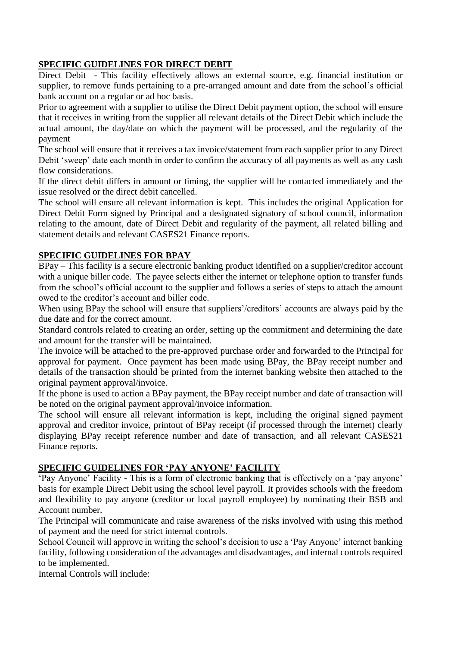## **SPECIFIC GUIDELINES FOR DIRECT DEBIT**

Direct Debit - This facility effectively allows an external source, e.g. financial institution or supplier, to remove funds pertaining to a pre-arranged amount and date from the school's official bank account on a regular or ad hoc basis.

Prior to agreement with a supplier to utilise the Direct Debit payment option, the school will ensure that it receives in writing from the supplier all relevant details of the Direct Debit which include the actual amount, the day/date on which the payment will be processed, and the regularity of the payment

The school will ensure that it receives a tax invoice/statement from each supplier prior to any Direct Debit 'sweep' date each month in order to confirm the accuracy of all payments as well as any cash flow considerations.

If the direct debit differs in amount or timing, the supplier will be contacted immediately and the issue resolved or the direct debit cancelled.

The school will ensure all relevant information is kept. This includes the original Application for Direct Debit Form signed by Principal and a designated signatory of school council, information relating to the amount, date of Direct Debit and regularity of the payment, all related billing and statement details and relevant CASES21 Finance reports.

### **SPECIFIC GUIDELINES FOR BPAY**

BPay – This facility is a secure electronic banking product identified on a supplier/creditor account with a unique biller code. The payee selects either the internet or telephone option to transfer funds from the school's official account to the supplier and follows a series of steps to attach the amount owed to the creditor's account and biller code.

When using BPay the school will ensure that suppliers'/creditors' accounts are always paid by the due date and for the correct amount.

Standard controls related to creating an order, setting up the commitment and determining the date and amount for the transfer will be maintained.

The invoice will be attached to the pre-approved purchase order and forwarded to the Principal for approval for payment. Once payment has been made using BPay, the BPay receipt number and details of the transaction should be printed from the internet banking website then attached to the original payment approval/invoice.

If the phone is used to action a BPay payment, the BPay receipt number and date of transaction will be noted on the original payment approval/invoice information.

The school will ensure all relevant information is kept, including the original signed payment approval and creditor invoice, printout of BPay receipt (if processed through the internet) clearly displaying BPay receipt reference number and date of transaction, and all relevant CASES21 Finance reports.

#### **SPECIFIC GUIDELINES FOR 'PAY ANYONE' FACILITY**

'Pay Anyone' Facility - This is a form of electronic banking that is effectively on a 'pay anyone' basis for example Direct Debit using the school level payroll. It provides schools with the freedom and flexibility to pay anyone (creditor or local payroll employee) by nominating their BSB and Account number.

The Principal will communicate and raise awareness of the risks involved with using this method of payment and the need for strict internal controls.

School Council will approve in writing the school's decision to use a 'Pay Anyone' internet banking facility, following consideration of the advantages and disadvantages, and internal controls required to be implemented.

Internal Controls will include: